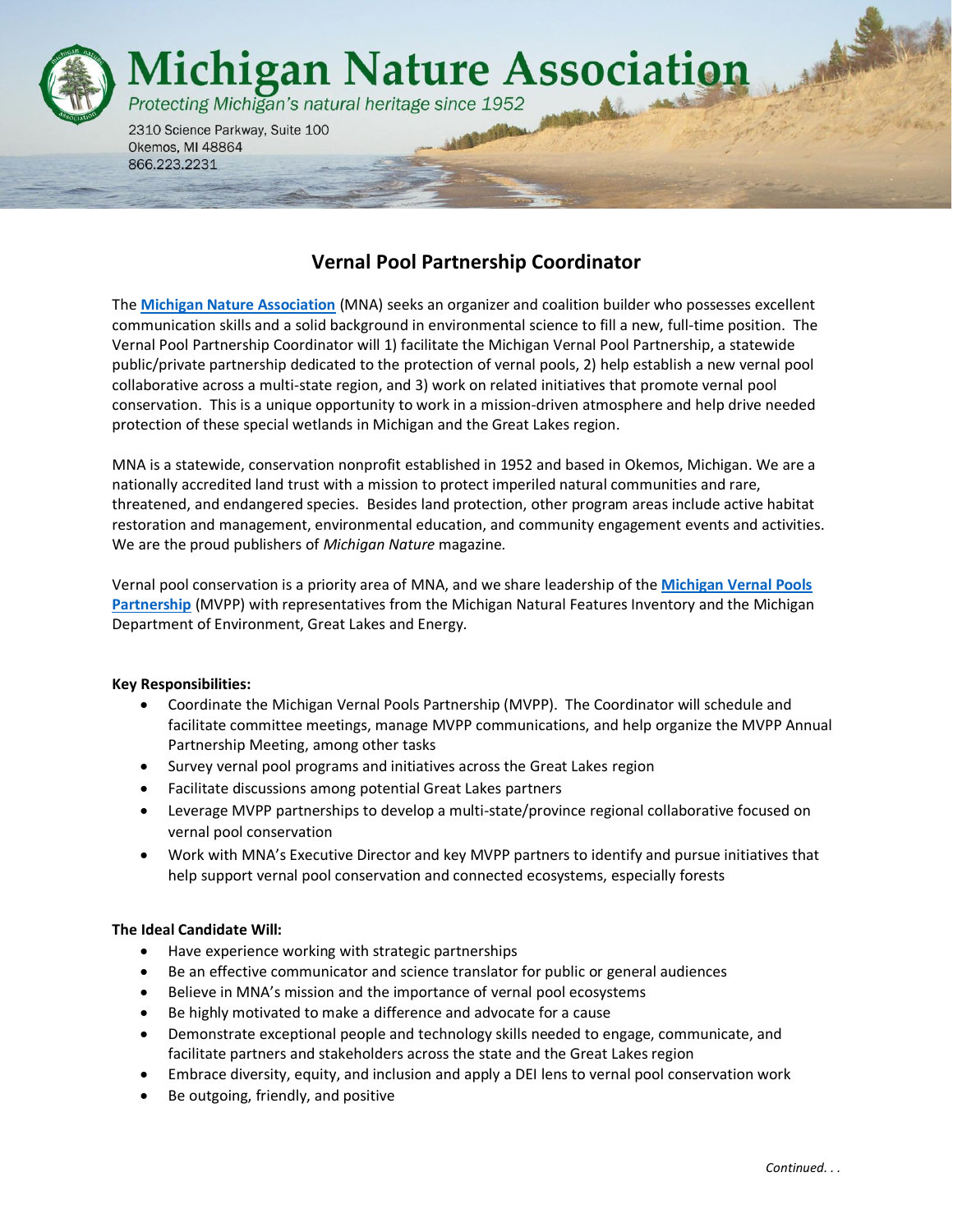

Okemos, MI 48864 866.223.2231

# **Vernal Pool Partnership Coordinator**

The **[Michigan Nature Association](http://www.michigannature.org/)** (MNA) seeks an organizer and coalition builder who possesses excellent communication skills and a solid background in environmental science to fill a new, full-time position. The Vernal Pool Partnership Coordinator will 1) facilitate the Michigan Vernal Pool Partnership, a statewide public/private partnership dedicated to the protection of vernal pools, 2) help establish a new vernal pool collaborative across a multi-state region, and 3) work on related initiatives that promote vernal pool conservation. This is a unique opportunity to work in a mission-driven atmosphere and help drive needed protection of these special wetlands in Michigan and the Great Lakes region.

MNA is a statewide, conservation nonprofit established in 1952 and based in Okemos, Michigan. We are a nationally accredited land trust with a mission to protect imperiled natural communities and rare, threatened, and endangered species. Besides land protection, other program areas include active habitat restoration and management, environmental education, and community engagement events and activities. We are the proud publishers of *Michigan Nature* magazine*.*

Vernal pool conservation is a priority area of MNA, and we share leadership of the **[Michigan Vernal Pools](http://mivernalpools.com/)  [Partnership](http://mivernalpools.com/)** (MVPP) with representatives from the Michigan Natural Features Inventory and the Michigan Department of Environment, Great Lakes and Energy.

## **Key Responsibilities:**

- Coordinate the Michigan Vernal Pools Partnership (MVPP). The Coordinator will schedule and facilitate committee meetings, manage MVPP communications, and help organize the MVPP Annual Partnership Meeting, among other tasks
- Survey vernal pool programs and initiatives across the Great Lakes region
- Facilitate discussions among potential Great Lakes partners
- Leverage MVPP partnerships to develop a multi-state/province regional collaborative focused on vernal pool conservation
- Work with MNA's Executive Director and key MVPP partners to identify and pursue initiatives that help support vernal pool conservation and connected ecosystems, especially forests

#### **The Ideal Candidate Will:**

- Have experience working with strategic partnerships
- Be an effective communicator and science translator for public or general audiences
- Believe in MNA's mission and the importance of vernal pool ecosystems
- Be highly motivated to make a difference and advocate for a cause
- Demonstrate exceptional people and technology skills needed to engage, communicate, and facilitate partners and stakeholders across the state and the Great Lakes region
- Embrace diversity, equity, and inclusion and apply a DEI lens to vernal pool conservation work
- Be outgoing, friendly, and positive